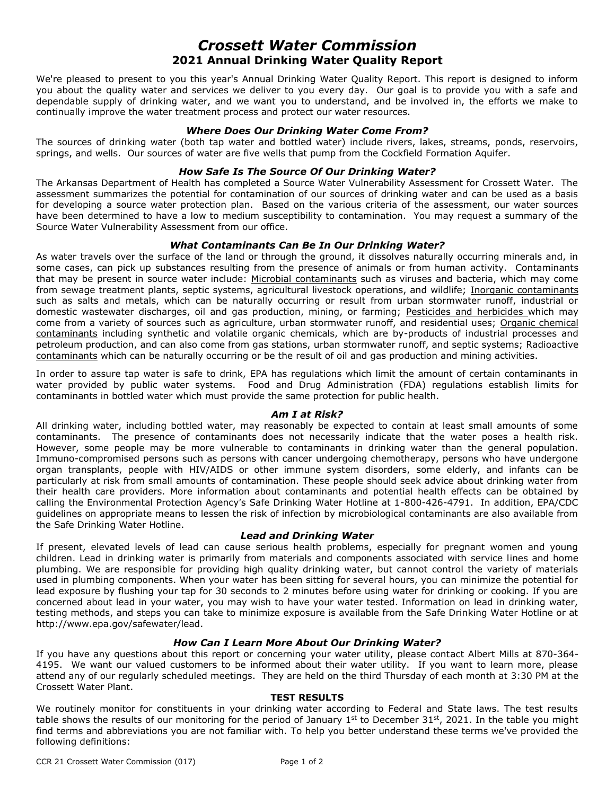# *Crossett Water Commission* **2021 Annual Drinking Water Quality Report**

We're pleased to present to you this year's Annual Drinking Water Quality Report. This report is designed to inform you about the quality water and services we deliver to you every day. Our goal is to provide you with a safe and dependable supply of drinking water, and we want you to understand, and be involved in, the efforts we make to continually improve the water treatment process and protect our water resources.

#### *Where Does Our Drinking Water Come From?*

The sources of drinking water (both tap water and bottled water) include rivers, lakes, streams, ponds, reservoirs, springs, and wells. Our sources of water are five wells that pump from the Cockfield Formation Aquifer.

## *How Safe Is The Source Of Our Drinking Water?*

The Arkansas Department of Health has completed a Source Water Vulnerability Assessment for Crossett Water. The assessment summarizes the potential for contamination of our sources of drinking water and can be used as a basis for developing a source water protection plan. Based on the various criteria of the assessment, our water sources have been determined to have a low to medium susceptibility to contamination. You may request a summary of the Source Water Vulnerability Assessment from our office.

#### *What Contaminants Can Be In Our Drinking Water?*

As water travels over the surface of the land or through the ground, it dissolves naturally occurring minerals and, in some cases, can pick up substances resulting from the presence of animals or from human activity. Contaminants that may be present in source water include: Microbial contaminants such as viruses and bacteria, which may come from sewage treatment plants, septic systems, agricultural livestock operations, and wildlife; Inorganic contaminants such as salts and metals, which can be naturally occurring or result from urban stormwater runoff, industrial or domestic wastewater discharges, oil and gas production, mining, or farming; Pesticides and herbicides which may come from a variety of sources such as agriculture, urban stormwater runoff, and residential uses; Organic chemical contaminants including synthetic and volatile organic chemicals, which are by-products of industrial processes and petroleum production, and can also come from gas stations, urban stormwater runoff, and septic systems; Radioactive contaminants which can be naturally occurring or be the result of oil and gas production and mining activities.

In order to assure tap water is safe to drink, EPA has regulations which limit the amount of certain contaminants in water provided by public water systems. Food and Drug Administration (FDA) regulations establish limits for contaminants in bottled water which must provide the same protection for public health.

## *Am I at Risk?*

All drinking water, including bottled water, may reasonably be expected to contain at least small amounts of some contaminants. The presence of contaminants does not necessarily indicate that the water poses a health risk. However, some people may be more vulnerable to contaminants in drinking water than the general population. Immuno-compromised persons such as persons with cancer undergoing chemotherapy, persons who have undergone organ transplants, people with HIV/AIDS or other immune system disorders, some elderly, and infants can be particularly at risk from small amounts of contamination. These people should seek advice about drinking water from their health care providers. More information about contaminants and potential health effects can be obtained by calling the Environmental Protection Agency's Safe Drinking Water Hotline at 1-800-426-4791. In addition, EPA/CDC guidelines on appropriate means to lessen the risk of infection by microbiological contaminants are also available from the Safe Drinking Water Hotline.

## *Lead and Drinking Water*

If present, elevated levels of lead can cause serious health problems, especially for pregnant women and young children. Lead in drinking water is primarily from materials and components associated with service lines and home plumbing. We are responsible for providing high quality drinking water, but cannot control the variety of materials used in plumbing components. When your water has been sitting for several hours, you can minimize the potential for lead exposure by flushing your tap for 30 seconds to 2 minutes before using water for drinking or cooking. If you are concerned about lead in your water, you may wish to have your water tested. Information on lead in drinking water, testing methods, and steps you can take to minimize exposure is available from the Safe Drinking Water Hotline or at http://www.epa.gov/safewater/lead.

## *How Can I Learn More About Our Drinking Water?*

If you have any questions about this report or concerning your water utility, please contact Albert Mills at 870-364- 4195. We want our valued customers to be informed about their water utility. If you want to learn more, please attend any of our regularly scheduled meetings. They are held on the third Thursday of each month at 3:30 PM at the Crossett Water Plant.

#### **TEST RESULTS**

We routinely monitor for constituents in your drinking water according to Federal and State laws. The test results table shows the results of our monitoring for the period of January 1st to December 31st, 2021. In the table you might find terms and abbreviations you are not familiar with. To help you better understand these terms we've provided the following definitions: